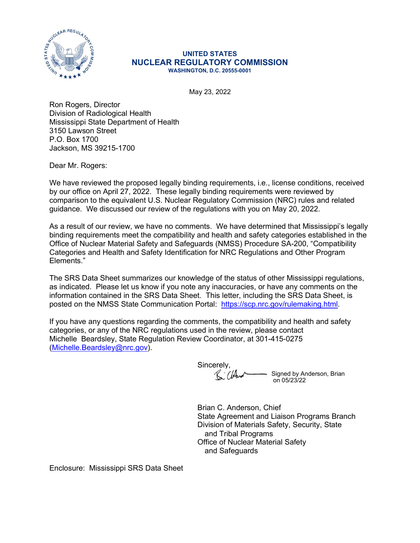

## UNITED STATES NUCLEAR REGULATORY COMMISSION WASHINGTON, D.C. 20555-0001

May 23, 2022

Ron Rogers, Director Division of Radiological Health Mississippi State Department of Health 3150 Lawson Street P.O. Box 1700 Jackson, MS 39215-1700

Dear Mr. Rogers:

We have reviewed the proposed legally binding requirements, i.e., license conditions, received by our office on April 27, 2022. These legally binding requirements were reviewed by comparison to the equivalent U.S. Nuclear Regulatory Commission (NRC) rules and related guidance. We discussed our review of the regulations with you on May 20, 2022.

As a result of our review, we have no comments. We have determined that Mississippi's legally binding requirements meet the compatibility and health and safety categories established in the Office of Nuclear Material Safety and Safeguards (NMSS) Procedure SA-200, "Compatibility Categories and Health and Safety Identification for NRC Regulations and Other Program Elements."

The SRS Data Sheet summarizes our knowledge of the status of other Mississippi regulations, as indicated. Please let us know if you note any inaccuracies, or have any comments on the information contained in the SRS Data Sheet. This letter, including the SRS Data Sheet, is posted on the NMSS State Communication Portal: https://scp.nrc.gov/rulemaking.html.

If you have any questions regarding the comments, the compatibility and health and safety categories, or any of the NRC regulations used in the review, please contact Michelle Beardsley, State Regulation Review Coordinator, at 301-415-0275 (Michelle.Beardsley@nrc.gov).

Sincerely, Signed by Anderson, Brian Killer on 05/23/22

Brian C. Anderson, Chief State Agreement and Liaison Programs Branch Division of Materials Safety, Security, State and Tribal Programs Office of Nuclear Material Safety and Safeguards

Enclosure: Mississippi SRS Data Sheet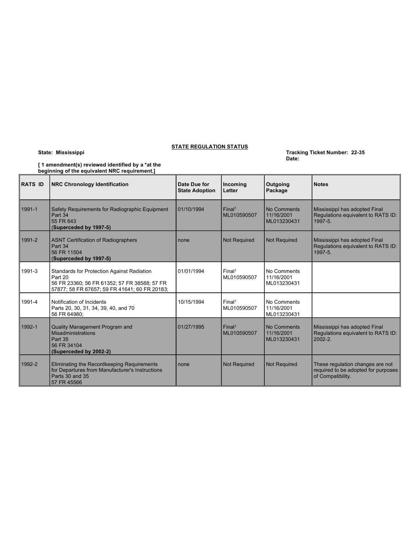## STATE REGULATION STATUS

| [1 amendment(s) reviewed identified by a *at the |  |
|--------------------------------------------------|--|
| beginning of the equivalent NRC requirement.]    |  |

|                | State: Mississippi                                                                                                                                     | <b>STATE REGULATION STATUS</b>        |                                   |                                          | Tracking Ticket Number: 22-35                                                  |  |
|----------------|--------------------------------------------------------------------------------------------------------------------------------------------------------|---------------------------------------|-----------------------------------|------------------------------------------|--------------------------------------------------------------------------------|--|
|                | [1 amendment(s) reviewed identified by a *at the<br>beginning of the equivalent NRC requirement.]                                                      |                                       |                                   | Date:                                    |                                                                                |  |
| <b>RATS ID</b> | <b>NRC Chronology Identification</b>                                                                                                                   | Date Due for<br><b>State Adoption</b> | Incoming<br>Letter                | Outgoing<br>Package                      | <b>Notes</b>                                                                   |  |
| 1991-1         | Safety Requirements for Radiographic Equipment<br>Part 34<br>55 FR 843<br>(Superceded by 1997-5)                                                       | 01/10/1994                            | Final <sup>1</sup><br>ML010590507 | No Comments<br>11/16/2001<br>ML013230431 | Mississippi has adopted Final<br>Regulations equivalent to RATS ID:<br>1997-5. |  |
| 1991-2         | ASNT Certification of Radiographers<br>Part 34<br>56 FR 11504<br>(Superceded by 1997-5)                                                                | none                                  | Not Required                      | Not Required                             | Mississippi has adopted Final<br>Regulations equivalent to RATS ID:<br>1997-5. |  |
| 1991-3         | Standards for Protection Against Radiation<br>Part 20<br>56 FR 23360; 56 FR 61352; 57 FR 38588; 57 FR<br>57877; 58 FR 67657; 59 FR 41641; 60 FR 20183; | 01/01/1994                            | Final <sup>1</sup><br>ML010590507 | No Comments<br>11/16/2001<br>ML013230431 |                                                                                |  |
|                | Notification of Incidents<br>Parts 20, 30, 31, 34, 39, 40, and 70                                                                                      | 10/15/1994                            | Final <sup>1</sup><br>ML010590507 | No Comments<br>11/16/2001<br>ML013230431 |                                                                                |  |
| 1991-4         | 56 FR 64980;                                                                                                                                           |                                       |                                   |                                          |                                                                                |  |
| 1992-1         | Quality Management Program and<br>Misadministrations<br>Part 35<br>56 FR 34104<br>(Superceded by 2002-2)                                               | 01/27/1995                            | Final <sup>1</sup><br>ML010590507 | No Comments<br>11/16/2001<br>ML013230431 | Mississippi has adopted Final<br>Regulations equivalent to RATS ID:<br>2002-2. |  |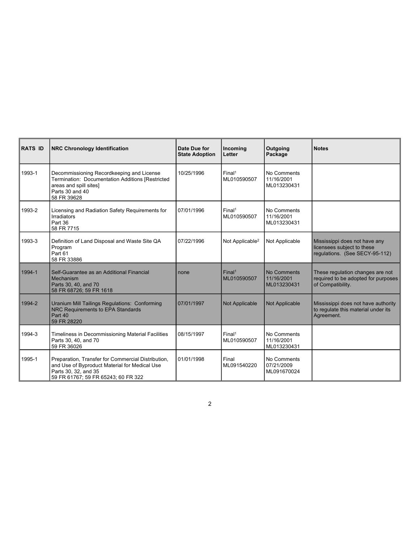| RATS ID    | <b>NRC Chronology Identification</b>                                                                                                                               | Date Due for<br><b>State Adoption</b> | Incoming<br>Letter                | Outgoing<br>Package                      | <b>Notes</b>                                                                                  |  |  |
|------------|--------------------------------------------------------------------------------------------------------------------------------------------------------------------|---------------------------------------|-----------------------------------|------------------------------------------|-----------------------------------------------------------------------------------------------|--|--|
| 1993-1     | Decommissioning Recordkeeping and License<br>Termination: Documentation Additions [Restricted<br>areas and spill sites]<br>Parts 30 and 40<br>58 FR 39628          | 10/25/1996                            | Final <sup>1</sup><br>ML010590507 | No Comments<br>11/16/2001<br>ML013230431 |                                                                                               |  |  |
| 1993-2     | Licensing and Radiation Safety Requirements for<br>Irradiators<br>Part 36<br>58 FR 7715                                                                            | 07/01/1996                            | Final <sup>1</sup><br>ML010590507 | No Comments<br>11/16/2001<br>ML013230431 |                                                                                               |  |  |
| 1993-3     | Definition of Land Disposal and Waste Site QA<br>Program<br>Part 61<br>58 FR 33886                                                                                 | 07/22/1996                            | Not Applicable <sup>2</sup>       | Not Applicable                           | Mississippi does not have any<br>licensees subject to these<br>regulations. (See SECY-95-112) |  |  |
| $1994 - 1$ | Self-Guarantee as an Additional Financial<br>Mechanism<br>Parts 30, 40, and 70<br>58 FR 68726; 59 FR 1618                                                          | none                                  | Final <sup>1</sup><br>ML010590507 | No Comments<br>11/16/2001<br>ML013230431 | These regulation changes are not<br>required to be adopted for purposes<br>of Compatibility.  |  |  |
| $1994-2$   | Uranium Mill Tailings Regulations: Conforming<br>NRC Requirements to EPA Standards<br>Part 40<br>59 FR 28220                                                       | 07/01/1997                            | Not Applicable                    | Not Applicable                           | Mississippi does not have authority<br>to regulate this material under its<br>Agreement.      |  |  |
| 1994-3     | Timeliness in Decommissioning Material Facilities<br>Parts 30, 40, and 70<br>59 FR 36026                                                                           | 08/15/1997                            | Final <sup>1</sup><br>ML010590507 | No Comments<br>11/16/2001<br>ML013230431 |                                                                                               |  |  |
| 1995-1     | Preparation, Transfer for Commercial Distribution,<br>and Use of Byproduct Material for Medical Use<br>Parts 30, 32, and 35<br>59 FR 61767; 59 FR 65243; 60 FR 322 | 01/01/1998                            | Final<br>ML091540220              | No Comments<br>07/21/2009<br>ML091670024 |                                                                                               |  |  |

2 and 2 and 2 and 2 and 2 and 2 and 2 and 2 and 2 and 2 and 2 and 2 and 2 and 2 and 2 and 2 and 2 and 2 and 2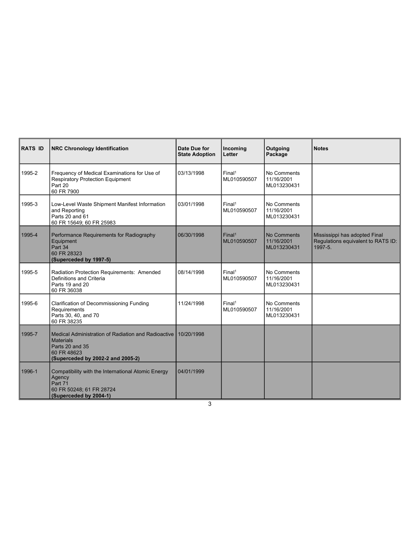| RATS ID | <b>NRC Chronology Identification</b>                                                                                                                      | Date Due for<br><b>State Adoption</b> | Incoming<br>Letter                | Outgoing<br>Package                      | <b>Notes</b>                                                                   |  |
|---------|-----------------------------------------------------------------------------------------------------------------------------------------------------------|---------------------------------------|-----------------------------------|------------------------------------------|--------------------------------------------------------------------------------|--|
| 1995-2  | Frequency of Medical Examinations for Use of<br><b>Respiratory Protection Equipment</b><br>Part 20<br>60 FR 7900                                          | 03/13/1998                            | Final <sup>1</sup><br>ML010590507 | No Comments<br>11/16/2001<br>ML013230431 |                                                                                |  |
| 1995-3  | Low-Level Waste Shipment Manifest Information<br>and Reporting<br>Parts 20 and 61<br>60 FR 15649; 60 FR 25983                                             | 03/01/1998                            | Final <sup>1</sup><br>ML010590507 | No Comments<br>11/16/2001<br>ML013230431 |                                                                                |  |
| 1995-4  | Performance Requirements for Radiography<br>Equipment<br>Part 34<br>60 FR 28323<br>(Superceded by 1997-5)                                                 | 06/30/1998                            | Final <sup>1</sup><br>ML010590507 | No Comments<br>11/16/2001<br>ML013230431 | Mississippi has adopted Final<br>Regulations equivalent to RATS ID:<br>1997-5. |  |
| 1995-5  | Radiation Protection Requirements: Amended<br>Definitions and Criteria<br>Parts 19 and 20<br>60 FR 36038                                                  | 08/14/1998                            | Final <sup>1</sup><br>ML010590507 | No Comments<br>11/16/2001<br>ML013230431 |                                                                                |  |
| 1995-6  | Clarification of Decommissioning Funding<br>Requirements<br>Parts 30, 40, and 70<br>60 FR 38235                                                           | 11/24/1998                            | Final <sup>1</sup><br>ML010590507 | No Comments<br>11/16/2001<br>ML013230431 |                                                                                |  |
| 1995-7  | Medical Administration of Radiation and Radioactive 10/20/1998<br><b>Materials</b><br>Parts 20 and 35<br>60 FR 48623<br>(Superceded by 2002-2 and 2005-2) |                                       |                                   |                                          |                                                                                |  |
| 1996-1  | Compatibility with the International Atomic Energy<br>Agency<br>Part 71<br>60 FR 50248; 61 FR 28724<br>(Superceded by 2004-1)                             | 04/01/1999                            |                                   |                                          |                                                                                |  |

 $3 \overline{3}$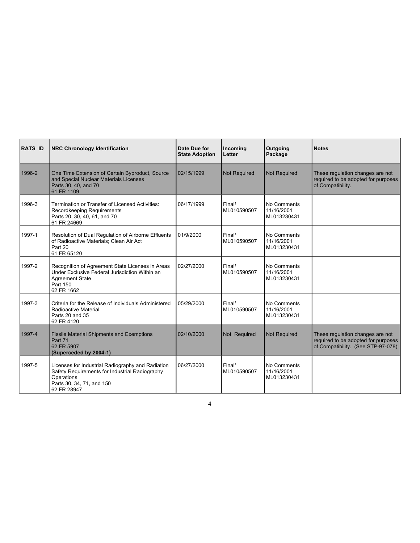| <b>RATS ID</b> | <b>NRC Chronology Identification</b>                                                                                                                          | Date Due for<br><b>State Adoption</b> | Incoming<br>Letter                | Outgoing<br>Package                      | <b>Notes</b>                                                                                                  |  |
|----------------|---------------------------------------------------------------------------------------------------------------------------------------------------------------|---------------------------------------|-----------------------------------|------------------------------------------|---------------------------------------------------------------------------------------------------------------|--|
| 1996-2         | One Time Extension of Certain Byproduct, Source<br>and Special Nuclear Materials Licenses<br>Parts 30, 40, and 70<br>61 FR 1109                               | 02/15/1999                            | Not Required                      | Not Required                             | These regulation changes are not<br>required to be adopted for purposes<br>of Compatibility.                  |  |
| 1996-3         | Termination or Transfer of Licensed Activities:<br>Recordkeeping Requirements<br>Parts 20, 30, 40, 61, and 70<br>61 FR 24669                                  | 06/17/1999                            | Final <sup>1</sup><br>ML010590507 | No Comments<br>11/16/2001<br>ML013230431 |                                                                                                               |  |
| 1997-1         | Resolution of Dual Regulation of Airborne Effluents<br>of Radioactive Materials; Clean Air Act<br>Part 20<br>61 FR 65120                                      | 01/9/2000                             | Final <sup>1</sup><br>ML010590507 | No Comments<br>11/16/2001<br>ML013230431 |                                                                                                               |  |
| 1997-2         | Recognition of Agreement State Licenses in Areas<br>Under Exclusive Federal Jurisdiction Within an<br><b>Agreement State</b><br>Part 150<br>62 FR 1662        | 02/27/2000                            | Final <sup>1</sup><br>ML010590507 | No Comments<br>11/16/2001<br>ML013230431 |                                                                                                               |  |
| 1997-3         | Criteria for the Release of Individuals Administered<br>Radioactive Material<br>Parts 20 and 35<br>62 FR 4120                                                 | 05/29/2000                            | Final <sup>1</sup><br>ML010590507 | No Comments<br>11/16/2001<br>ML013230431 |                                                                                                               |  |
| 1997-4         | <b>Fissile Material Shipments and Exemptions</b><br>Part 71<br>62 FR 5907<br>(Superceded by 2004-1)                                                           | 02/10/2000                            | Not Required                      | Not Required                             | These regulation changes are not<br>required to be adopted for purposes<br>of Compatibility. (See STP-97-078) |  |
| 1997-5         | Licenses for Industrial Radiography and Radiation<br>Safety Requirements for Industrial Radiography<br>Operations<br>Parts 30, 34, 71, and 150<br>62 FR 28947 | 06/27/2000                            | Final <sup>1</sup><br>ML010590507 | No Comments<br>11/16/2001<br>ML013230431 |                                                                                                               |  |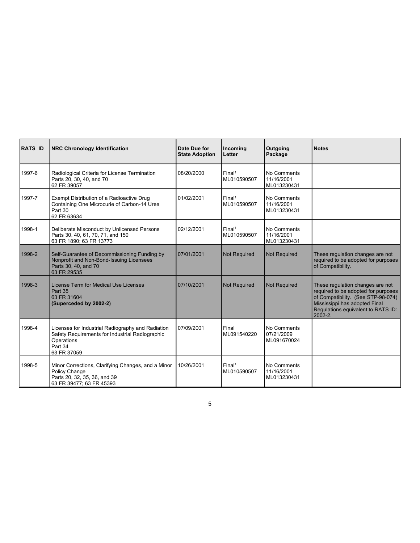| RATS ID | <b>NRC Chronology Identification</b>                                                                                                         | Date Due for<br><b>State Adoption</b> | Incoming<br>Letter                | Outgoing<br>Package                      | <b>Notes</b>                                                                                                                                                                                    |
|---------|----------------------------------------------------------------------------------------------------------------------------------------------|---------------------------------------|-----------------------------------|------------------------------------------|-------------------------------------------------------------------------------------------------------------------------------------------------------------------------------------------------|
| 1997-6  | Radiological Criteria for License Termination<br>Parts 20, 30, 40, and 70<br>62 FR 39057                                                     | 08/20/2000                            | Final <sup>1</sup><br>ML010590507 | No Comments<br>11/16/2001<br>ML013230431 |                                                                                                                                                                                                 |
| 1997-7  | Exempt Distribution of a Radioactive Drug<br>Containing One Microcurie of Carbon-14 Urea<br>Part 30<br>62 FR 63634                           | 01/02/2001                            | Final <sup>1</sup><br>ML010590507 | No Comments<br>11/16/2001<br>ML013230431 |                                                                                                                                                                                                 |
| 1998-1  | Deliberate Misconduct by Unlicensed Persons<br>Parts 30, 40, 61, 70, 71, and 150<br>63 FR 1890; 63 FR 13773                                  | 02/12/2001                            | Final <sup>1</sup><br>ML010590507 | No Comments<br>11/16/2001<br>ML013230431 |                                                                                                                                                                                                 |
| 1998-2  | Self-Guarantee of Decommissioning Funding by<br>Nonprofit and Non-Bond-Issuing Licensees<br>Parts 30, 40, and 70<br>63 FR 29535              | 07/01/2001                            | <b>Not Required</b>               | Not Required                             | These regulation changes are not<br>required to be adopted for purposes<br>of Compatibility.                                                                                                    |
| 1998-3  | License Term for Medical Use Licenses<br>Part 35<br>63 FR 31604<br>(Superceded by 2002-2)                                                    | 07/10/2001                            | <b>Not Required</b>               | Not Required                             | These regulation changes are not<br>required to be adopted for purposes<br>of Compatibility. (See STP-98-074)<br>Mississippi has adopted Final<br>Regulations equivalent to RATS ID:<br>2002-2. |
| 1998-4  | Licenses for Industrial Radiography and Radiation<br>Safety Requirements for Industrial Radiographic<br>Operations<br>Part 34<br>63 FR 37059 | 07/09/2001                            | Final<br>ML091540220              | No Comments<br>07/21/2009<br>ML091670024 |                                                                                                                                                                                                 |
| 1998-5  | Minor Corrections, Clarifying Changes, and a Minor<br>Policy Change<br>Parts 20, 32, 35, 36, and 39                                          | 10/26/2001                            | Final <sup>1</sup><br>ML010590507 | No Comments<br>11/16/2001<br>ML013230431 |                                                                                                                                                                                                 |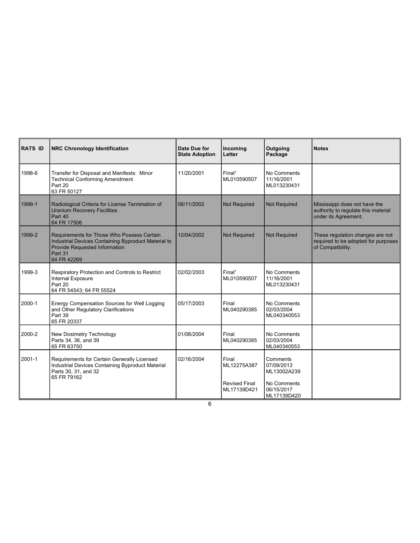| <b>RATS ID</b> | <b>NRC Chronology Identification</b>                                                                                                                         | Date Due for<br><b>State Adoption</b> | Incoming<br>Letter                  | Outgoing<br>Package                      | <b>Notes</b>                                                                                 |  |
|----------------|--------------------------------------------------------------------------------------------------------------------------------------------------------------|---------------------------------------|-------------------------------------|------------------------------------------|----------------------------------------------------------------------------------------------|--|
| 1998-6         | Transfer for Disposal and Manifests: Minor<br><b>Technical Conforming Amendment</b><br>Part 20<br>63 FR 50127                                                | 11/20/2001                            | Final <sup>1</sup><br>ML010590507   | No Comments<br>11/16/2001<br>ML013230431 |                                                                                              |  |
| 1999-1         | Radiological Criteria for License Termination of<br><b>Uranium Recovery Facilities</b><br>Part 40<br>64 FR 17506                                             | 06/11/2002                            | Not Required                        | Not Required                             | Mississippi does not have the<br>authority to regulate this material<br>under its Agreement. |  |
| 1999-2         | Requirements for Those Who Possess Certain<br>Industrial Devices Containing Byproduct Material to<br>Provide Requested Information<br>Part 31<br>64 FR 42269 | 10/04/2002                            | Not Required                        | <b>Not Required</b>                      | These regulation changes are not<br>required to be adopted for purposes<br>of Compatibility. |  |
| 1999-3         | Respiratory Protection and Controls to Restrict<br>Internal Exposure<br>Part 20<br>64 FR 54543; 64 FR 55524                                                  | 02/02/2003                            | Final <sup>1</sup><br>ML010590507   | No Comments<br>11/16/2001<br>ML013230431 |                                                                                              |  |
| 2000-1         | Energy Compensation Sources for Well Logging<br>and Other Regulatory Clarifications<br>Part 39<br>65 FR 20337                                                | 05/17/2003                            | Final<br>ML040290385                | No Comments<br>02/03/2004<br>ML040340553 |                                                                                              |  |
| 2000-2         | New Dosimetry Technology<br>Parts 34, 36, and 39<br>65 FR 63750                                                                                              | 01/08/2004                            | Final<br>ML040290385                | No Comments<br>02/03/2004<br>ML040340553 |                                                                                              |  |
| 2001-1         | Requirements for Certain Generally Licensed<br>Industrial Devices Containing Byproduct Material<br>Parts 30, 31, and 32<br>65 FR 79162                       | 02/16/2004                            | Final<br>ML12275A387                | Comments<br>07/09/2013<br>ML13002A239    |                                                                                              |  |
|                |                                                                                                                                                              |                                       | <b>Revised Final</b><br>ML17139D421 | No Comments<br>06/15/2017<br>ML17139D420 |                                                                                              |  |

 $6\,$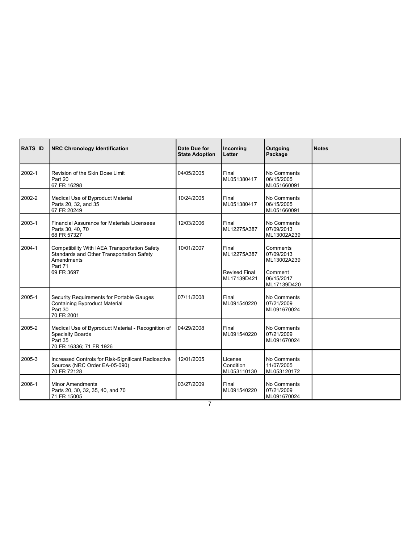| RATS ID | <b>NRC Chronology Identification</b>                                                                                              | Date Due for<br><b>State Adoption</b> | Incoming<br>Letter                  | Outgoing<br>Package                      | <b>Notes</b> |
|---------|-----------------------------------------------------------------------------------------------------------------------------------|---------------------------------------|-------------------------------------|------------------------------------------|--------------|
| 2002-1  | Revision of the Skin Dose Limit<br>Part 20<br>67 FR 16298                                                                         | 04/05/2005                            | Final<br>ML051380417                | No Comments<br>06/15/2005<br>ML051660091 |              |
| 2002-2  | Medical Use of Byproduct Material<br>Parts 20, 32, and 35<br>67 FR 20249                                                          | 10/24/2005                            | Final<br>ML051380417                | No Comments<br>06/15/2005<br>ML051660091 |              |
| 2003-1  | <b>Financial Assurance for Materials Licensees</b><br>Parts 30, 40, 70<br>68 FR 57327                                             | 12/03/2006                            | Final<br>ML12275A387                | No Comments<br>07/09/2013<br>ML13002A239 |              |
| 2004-1  | Compatibility With IAEA Transportation Safety<br>Standards and Other Transportation Safety<br>Amendments<br>Part 71<br>69 FR 3697 | 10/01/2007                            | Final<br>ML12275A387                | Comments<br>07/09/2013<br>ML13002A239    |              |
|         |                                                                                                                                   |                                       | <b>Revised Final</b><br>ML17139D421 | Comment<br>06/15/2017<br>ML17139D420     |              |
| 2005-1  | Security Requirements for Portable Gauges<br>Containing Byproduct Material<br>Part 30<br>70 FR 2001                               | 07/11/2008                            | Final<br>ML091540220                | No Comments<br>07/21/2009<br>ML091670024 |              |
| 2005-2  | Medical Use of Byproduct Material - Recognition of<br><b>Specialty Boards</b><br>Part 35<br>70 FR 16336; 71 FR 1926               | 04/29/2008                            | Final<br>ML091540220                | No Comments<br>07/21/2009<br>ML091670024 |              |
| 2005-3  | Increased Controls for Risk-Significant Radioactive<br>Sources (NRC Order EA-05-090)<br>70 FR 72128                               | 12/01/2005                            | License<br>Condition<br>ML053110130 | No Comments<br>11/07/2005<br>ML053120172 |              |
| 2006-1  | <b>Minor Amendments</b><br>Parts 20, 30, 32, 35, 40, and 70                                                                       | 03/27/2009                            | Final<br>ML091540220                | No Comments<br>07/21/2009                |              |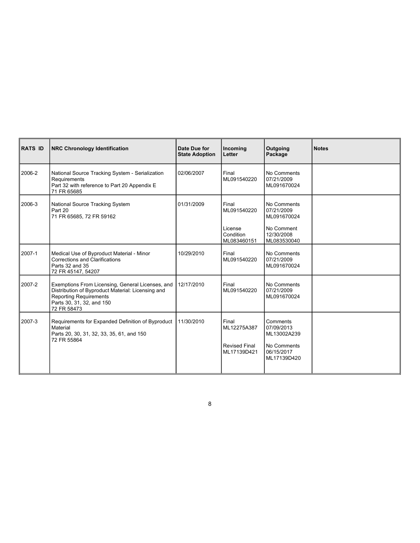| RATS ID | <b>NRC Chronology Identification</b>                                                                                                                                               | Date Due for<br><b>State Adoption</b> | Incoming<br>Letter                                          | Outgoing<br>Package                                                                 | <b>Notes</b> |
|---------|------------------------------------------------------------------------------------------------------------------------------------------------------------------------------------|---------------------------------------|-------------------------------------------------------------|-------------------------------------------------------------------------------------|--------------|
| 2006-2  | National Source Tracking System - Serialization<br>Requirements<br>Part 32 with reference to Part 20 Appendix E<br>71 FR 65685                                                     | 02/06/2007                            | Final<br>ML091540220                                        | No Comments<br>07/21/2009<br>ML091670024                                            |              |
| 2006-3  | National Source Tracking System<br>Part 20<br>71 FR 65685, 72 FR 59162                                                                                                             | 01/31/2009                            | Final<br>ML091540220<br>License<br>Condition<br>ML083460151 | No Comments<br>07/21/2009<br>ML091670024<br>No Comment<br>12/30/2008<br>ML083530040 |              |
| 2007-1  | Medical Use of Byproduct Material - Minor<br>Corrections and Clarifications<br>Parts 32 and 35<br>72 FR 45147, 54207                                                               | 10/29/2010                            | Final<br>ML091540220                                        | No Comments<br>07/21/2009<br>ML091670024                                            |              |
| 2007-2  | Exemptions From Licensing, General Licenses, and<br>Distribution of Byproduct Material: Licensing and<br><b>Reporting Requirements</b><br>Parts 30, 31, 32, and 150<br>72 FR 58473 | 12/17/2010                            | Final<br>ML091540220                                        | No Comments<br>07/21/2009<br>ML091670024                                            |              |
| 2007-3  | Requirements for Expanded Definition of Byproduct<br>Material<br>Parts 20, 30, 31, 32, 33, 35, 61, and 150<br>72 FR 55864                                                          | 11/30/2010                            | Final<br>ML12275A387<br><b>Revised Final</b><br>ML17139D421 | Comments<br>07/09/2013<br>ML13002A239<br>No Comments<br>06/15/2017                  |              |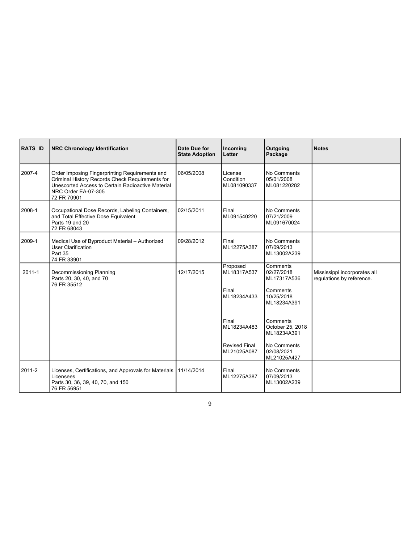| RATS ID | <b>NRC Chronology Identification</b>                                                                                                                                                         | Date Due for<br><b>State Adoption</b> | Incoming<br>Letter                              | Outgoing<br>Package                                                            | <b>Notes</b>                                              |
|---------|----------------------------------------------------------------------------------------------------------------------------------------------------------------------------------------------|---------------------------------------|-------------------------------------------------|--------------------------------------------------------------------------------|-----------------------------------------------------------|
| 2007-4  | Order Imposing Fingerprinting Requirements and<br>Criminal History Records Check Requirements for<br>Unescorted Access to Certain Radioactive Material<br>NRC Order EA-07-305<br>72 FR 70901 | 06/05/2008                            | License<br>Condition<br>ML081090337             | No Comments<br>05/01/2008<br>ML081220282                                       |                                                           |
| 2008-1  | Occupational Dose Records, Labeling Containers,<br>and Total Effective Dose Equivalent<br>Parts 19 and 20<br>72 FR 68043                                                                     | 02/15/2011                            | Final<br>ML091540220                            | No Comments<br>07/21/2009<br>ML091670024                                       |                                                           |
| 2009-1  | Medical Use of Byproduct Material - Authorized<br>User Clarification<br>Part 35<br>74 FR 33901                                                                                               | 09/28/2012                            | Final<br>ML12275A387                            | No Comments<br>07/09/2013<br>ML13002A239                                       |                                                           |
| 2011-1  | Decommissioning Planning<br>Parts 20, 30, 40, and 70<br>76 FR 35512                                                                                                                          | 12/17/2015                            | Proposed<br>ML18317A537<br>Final<br>ML18234A433 | Comments<br>02/27/2018<br>ML17317A536<br>Comments<br>10/25/2018<br>ML18234A391 | Mississippi incorporates all<br>regulations by reference. |
|         |                                                                                                                                                                                              |                                       | Final<br>ML18234A483                            | Comments<br>October 25, 2018<br>ML18234A391                                    |                                                           |
|         |                                                                                                                                                                                              |                                       | <b>Revised Final</b><br>ML21025A087             | No Comments<br>02/08/2021<br>ML21025A427                                       |                                                           |
| 2011-2  | Licenses, Certifications, and Approvals for Materials   11/14/2014<br>Licensees<br>Parts 30, 36, 39, 40, 70, and 150                                                                         |                                       | Final<br>ML12275A387                            | No Comments<br>07/09/2013<br>ML13002A239                                       |                                                           |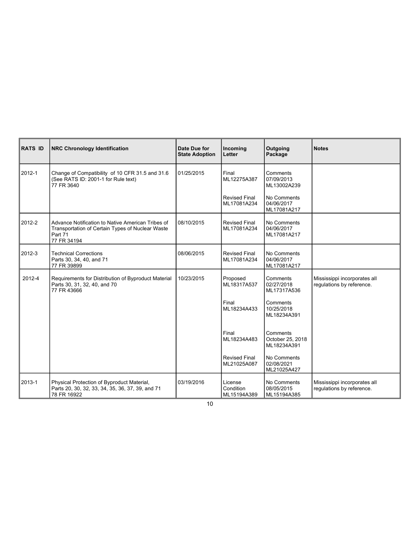| <b>RATS ID</b> | <b>NRC Chronology Identification</b>                                                                                            | Date Due for<br><b>State Adoption</b> | Incoming<br>Letter                  | Outgoing<br>Package                         | <b>Notes</b>                                              |
|----------------|---------------------------------------------------------------------------------------------------------------------------------|---------------------------------------|-------------------------------------|---------------------------------------------|-----------------------------------------------------------|
| 2012-1         | Change of Compatibility of 10 CFR 31.5 and 31.6<br>(See RATS ID: 2001-1 for Rule text)<br>77 FR 3640                            | 01/25/2015                            | Final<br>ML12275A387                | Comments<br>07/09/2013<br>ML13002A239       |                                                           |
|                |                                                                                                                                 |                                       | <b>Revised Final</b><br>ML17081A234 | No Comments<br>04/06/2017<br>ML17081A217    |                                                           |
| 2012-2         | Advance Notification to Native American Tribes of<br>Transportation of Certain Types of Nuclear Waste<br>Part 71<br>77 FR 34194 | 08/10/2015                            | <b>Revised Final</b><br>ML17081A234 | No Comments<br>04/06/2017<br>ML17081A217    |                                                           |
| 2012-3         | <b>Technical Corrections</b><br>Parts 30, 34, 40, and 71<br>77 FR 39899                                                         | 08/06/2015                            | <b>Revised Final</b><br>ML17081A234 | No Comments<br>04/06/2017<br>ML17081A217    |                                                           |
| 2012-4         | Requirements for Distribution of Byproduct Material<br>Parts 30, 31, 32, 40, and 70<br>77 FR 43666                              | 10/23/2015                            | Proposed<br>ML18317A537             | Comments<br>02/27/2018<br>ML17317A536       | Mississippi incorporates all<br>regulations by reference. |
|                |                                                                                                                                 |                                       | Final<br>ML18234A433                | Comments<br>10/25/2018<br>ML18234A391       |                                                           |
|                |                                                                                                                                 |                                       | Final<br>ML18234A483                | Comments<br>October 25, 2018<br>ML18234A391 |                                                           |
|                |                                                                                                                                 |                                       | <b>Revised Final</b><br>ML21025A087 | No Comments<br>02/08/2021<br>ML21025A427    |                                                           |
|                | Physical Protection of Byproduct Material,                                                                                      | 03/19/2016                            | License<br>Condition                | No Comments<br>08/05/2015                   | Mississippi incorporates all<br>regulations by reference. |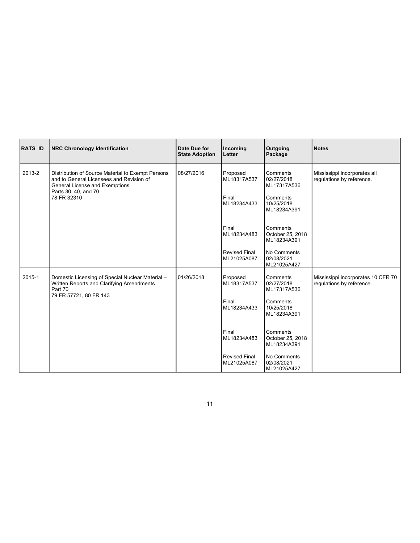| RATS ID | <b>NRC Chronology Identification</b>                                                                                                                                   | Date Due for<br><b>State Adoption</b> | Incoming<br>Letter                                                                                             | Outgoing<br>Package                                                                                                                                                                      | <b>Notes</b>                                                    |
|---------|------------------------------------------------------------------------------------------------------------------------------------------------------------------------|---------------------------------------|----------------------------------------------------------------------------------------------------------------|------------------------------------------------------------------------------------------------------------------------------------------------------------------------------------------|-----------------------------------------------------------------|
| 2013-2  | Distribution of Source Material to Exempt Persons<br>and to General Licensees and Revision of<br>General License and Exemptions<br>Parts 30, 40, and 70<br>78 FR 32310 | 08/27/2016                            | Proposed<br>ML18317A537<br>Final<br>ML18234A433<br>Final<br>ML18234A483<br><b>Revised Final</b><br>ML21025A087 | Comments<br>02/27/2018<br>ML17317A536<br>Comments<br>10/25/2018<br>ML18234A391<br>Comments<br>October 25, 2018<br>ML18234A391<br>No Comments<br>02/08/2021                               | Mississippi incorporates all<br>regulations by reference.       |
| 2015-1  | Domestic Licensing of Special Nuclear Material -<br>Written Reports and Clarifying Amendments<br>Part 70<br>79 FR 57721, 80 FR 143                                     | 01/26/2018                            | Proposed<br>ML18317A537<br>Final<br>ML18234A433<br>Final<br>ML18234A483<br><b>Revised Final</b><br>ML21025A087 | ML21025A427<br>Comments<br>02/27/2018<br>ML17317A536<br>Comments<br>10/25/2018<br>ML18234A391<br>Comments<br>October 25, 2018<br>ML18234A391<br>No Comments<br>02/08/2021<br>ML21025A427 | Mississippi incorporates 10 CFR 70<br>regulations by reference. |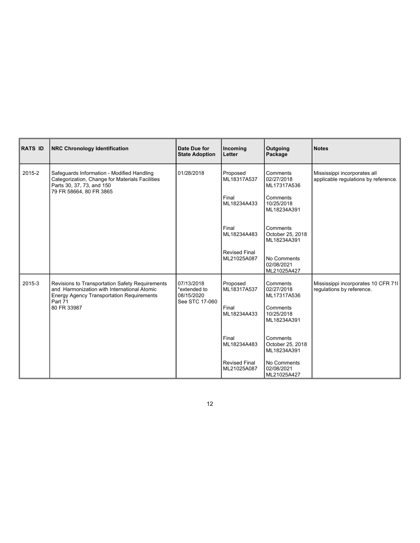| RATS ID | <b>NRC Chronology Identification</b>                                                                                                                  | Date Due for<br><b>State Adoption</b>    | Incoming<br>Letter                  | Outgoing<br>Package                         | <b>Notes</b>                                                         |
|---------|-------------------------------------------------------------------------------------------------------------------------------------------------------|------------------------------------------|-------------------------------------|---------------------------------------------|----------------------------------------------------------------------|
| 2015-2  | Safeguards Information - Modified Handling<br>Categorization, Change for Materials Facilities<br>Parts 30, 37, 73, and 150<br>79 FR 58664, 80 FR 3865 | 01/28/2018                               | Proposed<br>ML18317A537             | Comments<br>02/27/2018<br>ML17317A536       | Mississippi incorporates all<br>applicable regulations by reference. |
|         |                                                                                                                                                       |                                          | Final<br>ML18234A433                | Comments<br>10/25/2018<br>ML18234A391       |                                                                      |
|         |                                                                                                                                                       |                                          | Final<br>ML18234A483                | Comments<br>October 25, 2018<br>ML18234A391 |                                                                      |
|         |                                                                                                                                                       |                                          | <b>Revised Final</b><br>ML21025A087 | No Comments<br>02/08/2021<br>ML21025A427    |                                                                      |
| 2015-3  | Revisions to Transportation Safety Requirements<br>and Harmonization with International Atomic<br><b>Energy Agency Transportation Requirements</b>    | 07/13/2018<br>*extended to<br>08/15/2020 | Proposed<br>ML18317A537             | Comments<br>02/27/2018<br>ML17317A536       | Mississippi incorporates 10 CFR 71I<br>regulations by reference.     |
|         | Part 71<br>80 FR 33987                                                                                                                                | See STC 17-060                           | Final<br>ML18234A433                | Comments<br>10/25/2018<br>ML18234A391       |                                                                      |
|         |                                                                                                                                                       |                                          | Final<br>ML18234A483                | Comments<br>October 25, 2018<br>ML18234A391 |                                                                      |
|         |                                                                                                                                                       |                                          | <b>Revised Final</b><br>ML21025A087 | No Comments<br>02/08/2021<br>ML21025A427    |                                                                      |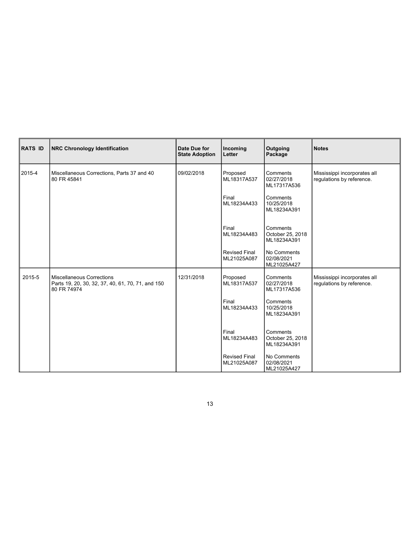| RATS ID | NRC Chronology Identification                                                                 | Date Due for<br><b>State Adoption</b> | Incoming<br>Letter                  | Outgoing<br>Package                         | <b>Notes</b>                                              |
|---------|-----------------------------------------------------------------------------------------------|---------------------------------------|-------------------------------------|---------------------------------------------|-----------------------------------------------------------|
| 2015-4  | Miscellaneous Corrections, Parts 37 and 40<br>80 FR 45841                                     | 09/02/2018                            | Proposed<br>ML18317A537             | Comments<br>02/27/2018<br>ML17317A536       | Mississippi incorporates all<br>regulations by reference. |
|         |                                                                                               |                                       | Final<br>ML18234A433                | Comments<br>10/25/2018<br>ML18234A391       |                                                           |
|         |                                                                                               |                                       | Final<br>ML18234A483                | Comments<br>October 25, 2018<br>ML18234A391 |                                                           |
|         |                                                                                               |                                       | <b>Revised Final</b><br>ML21025A087 | No Comments<br>02/08/2021<br>ML21025A427    |                                                           |
| 2015-5  | Miscellaneous Corrections<br>Parts 19, 20, 30, 32, 37, 40, 61, 70, 71, and 150<br>80 FR 74974 | 12/31/2018                            | Proposed<br>ML18317A537             | Comments<br>02/27/2018<br>ML17317A536       | Mississippi incorporates all<br>regulations by reference. |
|         |                                                                                               |                                       | Final<br>ML18234A433                | Comments<br>10/25/2018<br>ML18234A391       |                                                           |
|         |                                                                                               |                                       | Final<br>ML18234A483                | Comments<br>October 25, 2018<br>ML18234A391 |                                                           |
|         |                                                                                               |                                       | <b>Revised Final</b><br>ML21025A087 | No Comments<br>02/08/2021                   |                                                           |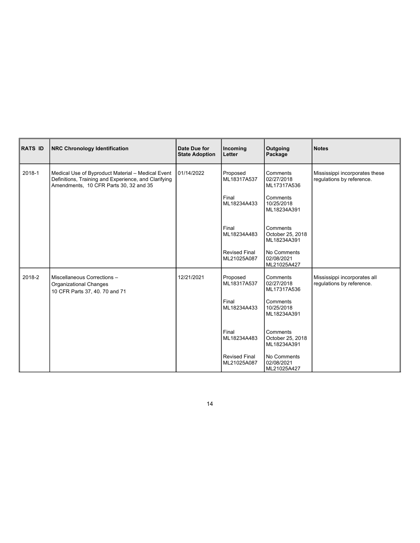| RATS ID | NRC Chronology Identification                                                                                                                       | Date Due for<br><b>State Adoption</b> | Incoming<br>Letter                                                                                             | Outgoing<br>Package                                                                                                                                                       | <b>Notes</b>                                                |
|---------|-----------------------------------------------------------------------------------------------------------------------------------------------------|---------------------------------------|----------------------------------------------------------------------------------------------------------------|---------------------------------------------------------------------------------------------------------------------------------------------------------------------------|-------------------------------------------------------------|
| 2018-1  | Medical Use of Byproduct Material - Medical Event<br>Definitions, Training and Experience, and Clarifying<br>Amendments, 10 CFR Parts 30, 32 and 35 | 01/14/2022                            | Proposed<br>ML18317A537<br>Final<br>ML18234A433<br>Final<br>ML18234A483<br><b>Revised Final</b><br>ML21025A087 | Comments<br>02/27/2018<br>ML17317A536<br>Comments<br>10/25/2018<br>ML18234A391<br>Comments<br>October 25, 2018<br>ML18234A391<br>No Comments<br>02/08/2021<br>ML21025A427 | Mississippi incorporates these<br>regulations by reference. |
| 2018-2  | Miscellaneous Corrections -<br>Organizational Changes<br>10 CFR Parts 37, 40. 70 and 71                                                             | 12/21/2021                            | Proposed<br>ML18317A537<br>Final<br>ML18234A433<br>Final<br>ML18234A483<br><b>Revised Final</b><br>ML21025A087 | Comments<br>02/27/2018<br>ML17317A536<br>Comments<br>10/25/2018<br>ML18234A391<br>Comments<br>October 25, 2018<br>ML18234A391<br>No Comments<br>02/08/2021<br>ML21025A427 | Mississippi incorporates all<br>regulations by reference.   |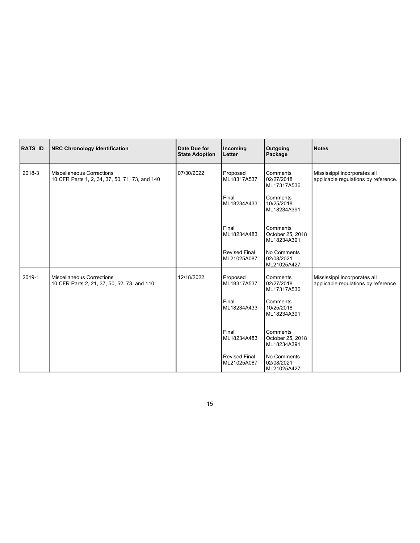| RATS ID | NRC Chronology Identification                                               | Date Due for<br><b>State Adoption</b> | Incoming<br>Letter                  | Outgoing<br>Package                         | Notes                                                                |
|---------|-----------------------------------------------------------------------------|---------------------------------------|-------------------------------------|---------------------------------------------|----------------------------------------------------------------------|
| 2018-3  | Miscellaneous Corrections<br>10 CFR Parts 1, 2, 34, 37, 50, 71, 73, and 140 | 07/30/2022                            | Proposed<br>ML18317A537             | Comments<br>02/27/2018<br>ML17317A536       | Mississippi incorporates all<br>applicable regulations by reference. |
|         |                                                                             |                                       | Final<br>ML18234A433                | Comments<br>10/25/2018<br>ML18234A391       |                                                                      |
|         |                                                                             |                                       | Final<br>ML18234A483                | Comments<br>October 25, 2018<br>ML18234A391 |                                                                      |
|         |                                                                             |                                       | <b>Revised Final</b><br>ML21025A087 | No Comments<br>02/08/2021<br>ML21025A427    |                                                                      |
| 2019-1  | Miscellaneous Corrections<br>10 CFR Parts 2, 21, 37, 50, 52, 73, and 110    | 12/18/2022                            | Proposed<br>ML18317A537             | Comments<br>02/27/2018<br>ML17317A536       | Mississippi incorporates all<br>applicable regulations by reference. |
|         |                                                                             |                                       | Final<br>ML18234A433                | Comments<br>10/25/2018<br>ML18234A391       |                                                                      |
|         |                                                                             |                                       | Final<br>ML18234A483                | Comments<br>October 25, 2018<br>ML18234A391 |                                                                      |
|         |                                                                             |                                       | <b>Revised Final</b><br>ML21025A087 | No Comments<br>02/08/2021<br>ML21025A427    |                                                                      |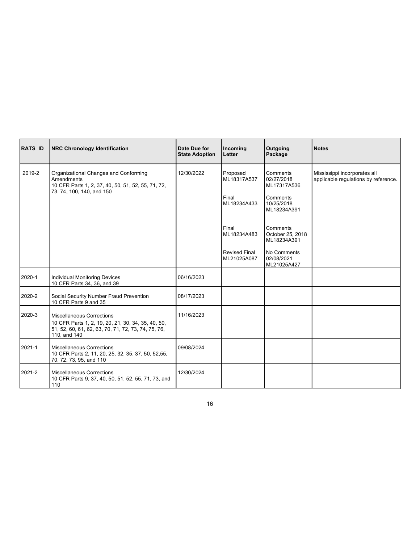| RATS ID | <b>NRC Chronology Identification</b>                                                                                                                   | Date Due for<br><b>State Adoption</b> | Incoming<br>Letter                                          | Outgoing<br>Package                                                                     | Notes                                                                |
|---------|--------------------------------------------------------------------------------------------------------------------------------------------------------|---------------------------------------|-------------------------------------------------------------|-----------------------------------------------------------------------------------------|----------------------------------------------------------------------|
| 2019-2  | Organizational Changes and Conforming<br>Amendments<br>10 CFR Parts 1, 2, 37, 40, 50, 51, 52, 55, 71, 72,<br>73, 74, 100, 140, and 150                 | 12/30/2022                            | Proposed<br>ML18317A537<br>Final<br>ML18234A433             | Comments<br>02/27/2018<br>ML17317A536<br>Comments<br>10/25/2018<br>ML18234A391          | Mississippi incorporates all<br>applicable regulations by reference. |
|         |                                                                                                                                                        |                                       | Final<br>ML18234A483<br><b>Revised Final</b><br>ML21025A087 | Comments<br>October 25, 2018<br>ML18234A391<br>No Comments<br>02/08/2021<br>ML21025A427 |                                                                      |
| 2020-1  | Individual Monitoring Devices<br>10 CFR Parts 34, 36, and 39                                                                                           | 06/16/2023                            |                                                             |                                                                                         |                                                                      |
| 2020-2  | Social Security Number Fraud Prevention<br>10 CFR Parts 9 and 35                                                                                       | 08/17/2023                            |                                                             |                                                                                         |                                                                      |
| 2020-3  | Miscellaneous Corrections<br>10 CFR Parts 1, 2, 19, 20, 21, 30, 34, 35, 40, 50,<br>51, 52, 60, 61, 62, 63, 70, 71, 72, 73, 74, 75, 76,<br>110, and 140 | 11/16/2023                            |                                                             |                                                                                         |                                                                      |
| 2021-1  | Miscellaneous Corrections<br>10 CFR Parts 2, 11, 20, 25, 32, 35, 37, 50, 52,55,<br>70, 72, 73, 95, and 110                                             | 09/08/2024                            |                                                             |                                                                                         |                                                                      |
| 2021-2  | Miscellaneous Corrections                                                                                                                              | 12/30/2024                            |                                                             |                                                                                         |                                                                      |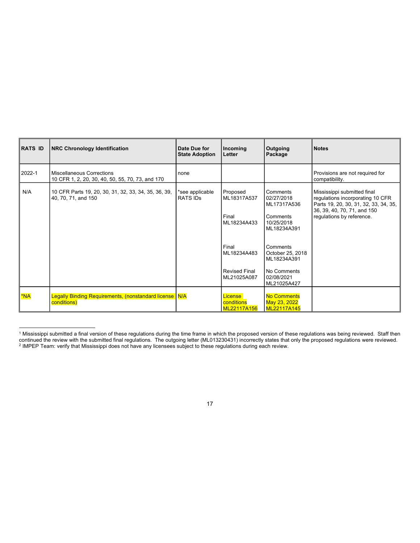| RATS ID          | <b>NRC Chronology Identification</b>                                                 | Date Due for<br><b>State Adoption</b> | Incoming<br>Letter                                                                                             | Outgoing<br>Package                                                                                                                                                       | Notes                                                                                                                                                                |
|------------------|--------------------------------------------------------------------------------------|---------------------------------------|----------------------------------------------------------------------------------------------------------------|---------------------------------------------------------------------------------------------------------------------------------------------------------------------------|----------------------------------------------------------------------------------------------------------------------------------------------------------------------|
| 2022-1           | <b>Miscellaneous Corrections</b><br>10 CFR 1, 2, 20, 30, 40, 50, 55, 70, 73, and 170 | none                                  |                                                                                                                |                                                                                                                                                                           | Provisions are not required for<br>compatibility.                                                                                                                    |
| N/A              | 10 CFR Parts 19, 20, 30, 31, 32, 33, 34, 35, 36, 39,<br>40, 70, 71, and 150          | *see applicable<br><b>RATS IDs</b>    | Proposed<br>ML18317A537<br>Final<br>ML18234A433<br>Final<br>ML18234A483<br><b>Revised Final</b><br>ML21025A087 | Comments<br>02/27/2018<br>ML17317A536<br>Comments<br>10/25/2018<br>ML18234A391<br>Comments<br>October 25, 2018<br>ML18234A391<br>No Comments<br>02/08/2021<br>ML21025A427 | Mississippi submitted final<br>regulations incorporating 10 CFR<br>Parts 19, 20, 30, 31, 32, 33, 34, 35,<br>36, 39, 40, 70, 71, and 150<br>regulations by reference. |
| <mark>*NA</mark> | Legally Binding Requirements, (nonstandard license N/A<br>conditions)                |                                       | License<br>conditions<br>ML22117A156                                                                           | No Comments<br>May 23, 2022<br>ML22117A145                                                                                                                                |                                                                                                                                                                      |

<sup>1</sup> Mississippi submitted a final version of these regulations during the time frame in which the proposed version of these regulations was being reviewed. Staff then continued the review with the submitted final regulations. The outgoing letter (ML013230431) incorrectly states that only the proposed regulations were reviewed.<br><sup>2</sup> IMPEP Team: verify that Mississippi does not have any l

<sup>17</sup>